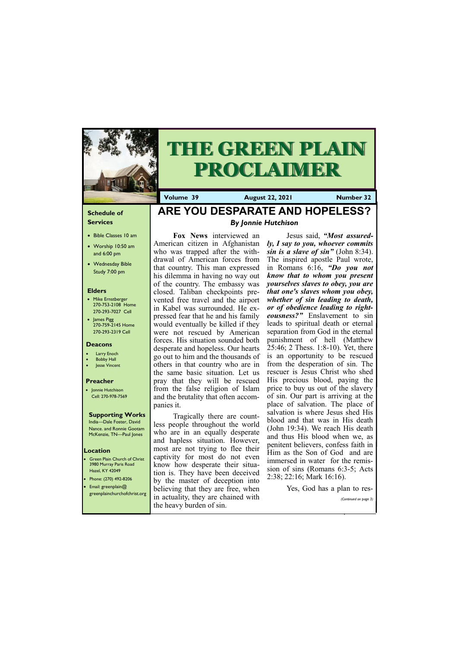### **Schedule of Services**

- Bible Classes 10 am
- Worship 10:50 am and 6:00 pm
- Wednesday Bible Study 7:00 pm

### **Elders**

- Mike Ernstberger 270-753-2108 Home 270-293-7027 Cell
- James Pigg 270-759-2145 Home 270-293-2319 Cell

- **Green Plain Church of Christ** 3980 Murray Paris Road Hazel, KY 42049 • Phone: (270) 492-8206
- Email: greenplain@



# **THE GREEN PLAIN PROCLAIMER**

#### **Location**

**Volume 39 August 22, 2021 Number 32**

### **Deacons**

- **Larry Enoch**
- **Bobby Hall**
- Jesse Vincent

#### **Preacher**

• Jonnie Hutchison Cell: 270-978-7569

### **Supporting Works**

India—Dale Foster, David Nance. and Ronnie Gootam McKenzie, TN—Paul Jones

### **ARE YOU DESPARATE AND HOPELESS?** *By Jonnie Hutchison*

**Fox News** interviewed an American citizen in Afghanistan who was trapped after the withdrawal of American forces from that country. This man expressed his dilemma in having no way out of the country. The embassy was closed. Taliban checkpoints prevented free travel and the airport in Kabel was surrounded. He expressed fear that he and his family would eventually be killed if they were not rescued by American forces. His situation sounded both desperate and hopeless. Our hearts go out to him and the thousands of others in that country who are in the same basic situation. Let us pray that they will be rescued from the false religion of Islam and the brutality that often accompanies it.

Tragically there are countless people throughout the world who are in an equally desperate and hapless situation. However, most are not trying to flee their captivity for most do not even know how desperate their situation is. They have been deceived by the master of deception into believing that they are free, when

| <b>Delicyllig that they are free, when</b>                       | $100, 000$ $\mu$ $\mu$ $\mu$ $\mu$ $\sigma$ $\mu$ |
|------------------------------------------------------------------|---------------------------------------------------|
| sreenplainchurchofchrist.org in actuality, they are chained with |                                                   |
|                                                                  | (Continued on page 3) $\blacksquare$              |
| the heavy burden of sin.                                         |                                                   |
|                                                                  |                                                   |

Jesus said, *"Most assuredly, I say to you, whoever commits sin is a slave of sin"* (John 8:34). The inspired apostle Paul wrote, in Romans 6:16, *"Do you not know that to whom you present yourselves slaves to obey, you are that one's slaves whom you obey, whether of sin leading to death, or of obedience leading to righteousness?"* Enslavement to sin leads to spiritual death or eternal separation from God in the eternal punishment of hell (Matthew 25:46; 2 Thess. 1:8-10). Yet, there is an opportunity to be rescued from the desperation of sin. The rescuer is Jesus Christ who shed His precious blood, paying the price to buy us out of the slavery of sin. Our part is arriving at the place of salvation. The place of salvation is where Jesus shed His blood and that was in His death (John 19:34). We reach His death and thus His blood when we, as penitent believers, confess faith in Him as the Son of God and are immersed in water for the remission of sins (Romans 6:3-5; Acts 2:38; 22:16; Mark 16:16).

Yes, God has a plan to res-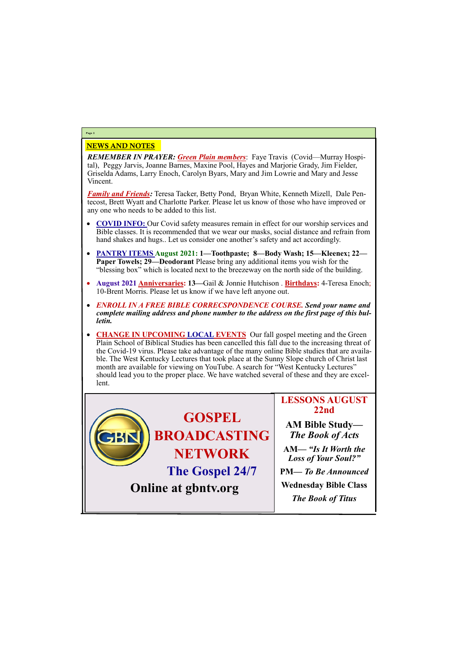## NEWS AND NOTES

*REMEMBER IN PRAYER: Green Plain members*: Faye Travis (Covid—Murray Hospital), Peggy Jarvis, Joanne Barnes, Maxine Pool, Hayes and Marjorie Grady, Jim Fielder, Griselda Adams, Larry Enoch, Carolyn Byars, Mary and Jim Lowrie and Mary and Jesse Vincent.

*Family and Friends:* Teresa Tacker, Betty Pond, Bryan White, Kenneth Mizell, Dale Pentecost, Brett Wyatt and Charlotte Parker. Please let us know of those who have improved or any one who needs to be added to this list.

- **COVID INFO:** Our Covid safety measures remain in effect for our worship services and Bible classes. It is recommended that we wear our masks, social distance and refrain from hand shakes and hugs.. Let us consider one another's safety and act accordingly.
- **PANTRY ITEMS August 2021: 1—Toothpaste; 8—Body Wash; 15—Kleenex; 22— Paper Towels; 29—Deodorant** Please bring any additional items you wish for the "blessing box" which is located next to the breezeway on the north side of the building.
- **August 2021 Anniversaries: 13—**Gail & Jonnie Hutchison . **Birthdays:** 4-Teresa Enoch; 10-Brent Morris. Please let us know if we have left anyone out.
- *ENROLL IN A FREE BIBLE CORRECSPONDENCE COURSE. Send your name and complete mailing address and phone number to the address on the first page of this bulletin.*
- **CHANGE IN UPCOMING LOCAL EVENTS** Our fall gospel meeting and the Green Plain School of Biblical Studies has been cancelled this fall due to the increasing threat of the Covid-19 virus. Please take advantage of the many online Bible studies that are available. The West Kentucky Lectures that took place at the Sunny Slope church of Christ last month are available for viewing on YouTube. A search for "West Kentucky Lectures" should lead you to the proper place. We have watched several of these and they are excellent.

**Page 2**

**GOSPEL BROADCASTING NETWORK The Gospel 24/7**

### **LESSONS AUGUST 22nd**

**AM Bible Study—** *The Book of Acts*



**AM***— "Is It Worth the Loss of Your Soul?"*

**PM—** *To Be Announced* **Wednesday Bible Class**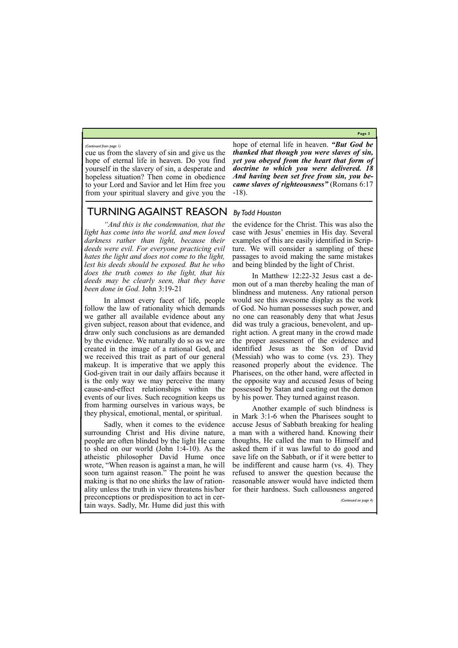**Page 3**

cue us from the slavery of sin and give us the hope of eternal life in heaven. Do you find yourself in the slavery of sin, a desperate and hopeless situation? Then come in obedience to your Lord and Savior and let Him free you from your spiritual slavery and give you the hope of eternal life in heaven. *"But God be thanked that though you were slaves of sin, yet you obeyed from the heart that form of doctrine to which you were delivered. 18 And having been set free from sin, you became slaves of righteousness"* (Romans 6:17 -18).

#### *(Continued from page 1)*

### TURNING AGAINST REASON *By Todd Houston*

*"And this is the condemnation, that the light has come into the world, and men loved darkness rather than light, because their deeds were evil. For everyone practicing evil hates the light and does not come to the light, lest his deeds should be exposed. But he who does the truth comes to the light, that his deeds may be clearly seen, that they have been done in God.* John 3:19-21

In almost every facet of life, people follow the law of rationality which demands we gather all available evidence about any given subject, reason about that evidence, and draw only such conclusions as are demanded by the evidence. We naturally do so as we are created in the image of a rational God, and we received this trait as part of our general makeup. It is imperative that we apply this God-given trait in our daily affairs because it is the only way we may perceive the many cause-and-effect relationships within the events of our lives. Such recognition keeps us from harming ourselves in various ways, be they physical, emotional, mental, or spiritual.

Sadly, when it comes to the evidence surrounding Christ and His divine nature, people are often blinded by the light He came to shed on our world (John 1:4-10). As the atheistic philosopher David Hume once wrote, "When reason is against a man, he will soon turn against reason." The point he was making is that no one shirks the law of rationality unless the truth in view threatens his/her

the evidence for the Christ. This was also the case with Jesus' enemies in His day. Several examples of this are easily identified in Scripture. We will consider a sampling of these passages to avoid making the same mistakes and being blinded by the light of Christ.

In Matthew 12:22-32 Jesus cast a demon out of a man thereby healing the man of blindness and muteness. Any rational person would see this awesome display as the work of God. No human possesses such power, and no one can reasonably deny that what Jesus did was truly a gracious, benevolent, and upright action. A great many in the crowd made the proper assessment of the evidence and identified Jesus as the Son of David (Messiah) who was to come (vs. 23). They reasoned properly about the evidence. The Pharisees, on the other hand, were affected in the opposite way and accused Jesus of being possessed by Satan and casting out the demon by his power. They turned against reason.

preconceptions or predisposition to act in certain ways. Sadly, Mr. Hume did just this with for their hardness. Such callousness angered *(Continued on page 4)*

Another example of such blindness is in Mark 3:1-6 when the Pharisees sought to accuse Jesus of Sabbath breaking for healing a man with a withered hand. Knowing their thoughts, He called the man to Himself and asked them if it was lawful to do good and save life on the Sabbath, or if it were better to be indifferent and cause harm (vs. 4). They refused to answer the question because the reasonable answer would have indicted them